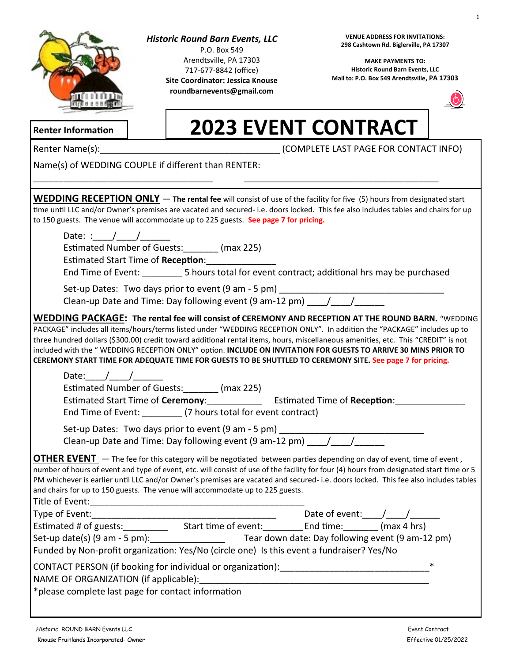

# *Historic Round Barn Events, LLC*

P.O. Box 549 Arendtsville, PA 17303 717-677-8842 (office) **Site Coordinator: Jessica Knouse roundbarnevents@gmail.com**

**VENUE ADDRESS FOR INVITATIONS: 298 Cashtown Rd. Biglerville, PA 17307**

**MAKE PAYMENTS TO: Historic Round Barn Events, LLC Mail to: P.O. Box 549 Arendtsville, PA 17303**



# **2023 EVENT CONTRACT**

**Renter Information**

Renter Name(s):\_\_\_\_\_\_\_\_\_\_\_\_\_\_\_\_\_\_\_\_\_\_\_\_\_\_\_\_\_\_\_\_\_\_\_\_ (COMPLETE LAST PAGE FOR CONTACT INFO)

Name(s) of WEDDING COUPLE if different than RENTER:

| <b>WEDDING RECEPTION ONLY</b> - The rental fee will consist of use of the facility for five (5) hours from designated start<br>time until LLC and/or Owner's premises are vacated and secured-i.e. doors locked. This fee also includes tables and chairs for up<br>to 150 guests. The venue will accommodate up to 225 guests. See page 7 for pricing.                                                                                                                                                                                                                                                  |
|----------------------------------------------------------------------------------------------------------------------------------------------------------------------------------------------------------------------------------------------------------------------------------------------------------------------------------------------------------------------------------------------------------------------------------------------------------------------------------------------------------------------------------------------------------------------------------------------------------|
| Date: $/$ /<br>Estimated Number of Guests: _______ (max 225)<br>Estimated Start Time of Reception: ____________<br>End Time of Event: ____________5 hours total for event contract; additional hrs may be purchased                                                                                                                                                                                                                                                                                                                                                                                      |
|                                                                                                                                                                                                                                                                                                                                                                                                                                                                                                                                                                                                          |
| <b>WEDDING PACKAGE: The rental fee will consist of CEREMONY AND RECEPTION AT THE ROUND BARN.</b> "WEDDING<br>PACKAGE" includes all items/hours/terms listed under "WEDDING RECEPTION ONLY". In addition the "PACKAGE" includes up to<br>three hundred dollars (\$300.00) credit toward additional rental items, hours, miscellaneous amenities, etc. This "CREDIT" is not<br>included with the "WEDDING RECEPTION ONLY" option. INCLUDE ON INVITATION FOR GUESTS TO ARRIVE 30 MINS PRIOR TO<br>CEREMONY START TIME FOR ADEQUATE TIME FOR GUESTS TO BE SHUTTLED TO CEREMONY SITE. See page 7 for pricing. |
| Date: $/$ / $/$<br>Estimated Number of Guests: _______ (max 225)<br>Estimated Start Time of Ceremony: ______________ Estimated Time of Reception:<br>End Time of Event: _________ (7 hours total for event contract)                                                                                                                                                                                                                                                                                                                                                                                     |
| Set-up Dates: Two days prior to event (9 am - 5 pm) _____________________________<br>Clean-up Date and Time: Day following event (9 am-12 pm) _____/_____/___________                                                                                                                                                                                                                                                                                                                                                                                                                                    |
| OTHER EVENT - The fee for this category will be negotiated between parties depending on day of event, time of event,<br>number of hours of event and type of event, etc. will consist of use of the facility for four (4) hours from designated start time or 5<br>PM whichever is earlier until LLC and/or Owner's premises are vacated and secured-i.e. doors locked. This fee also includes tables<br>and chairs for up to 150 guests. The venue will accommodate up to 225 guests.<br>Title of Event:<br><u> 1980 - John Stone, Amerikaansk politiker (</u> † 1920)                                  |
|                                                                                                                                                                                                                                                                                                                                                                                                                                                                                                                                                                                                          |
|                                                                                                                                                                                                                                                                                                                                                                                                                                                                                                                                                                                                          |
| Set-up date(s) (9 am - 5 pm): Tear down date: Day following event (9 am-12 pm)<br>Funded by Non-profit organization: Yes/No (circle one) Is this event a fundraiser? Yes/No                                                                                                                                                                                                                                                                                                                                                                                                                              |
| $\ast$<br>CONTACT PERSON (if booking for individual or organization):<br>NAME OF ORGANIZATION (if applicable):<br>*please complete last page for contact information                                                                                                                                                                                                                                                                                                                                                                                                                                     |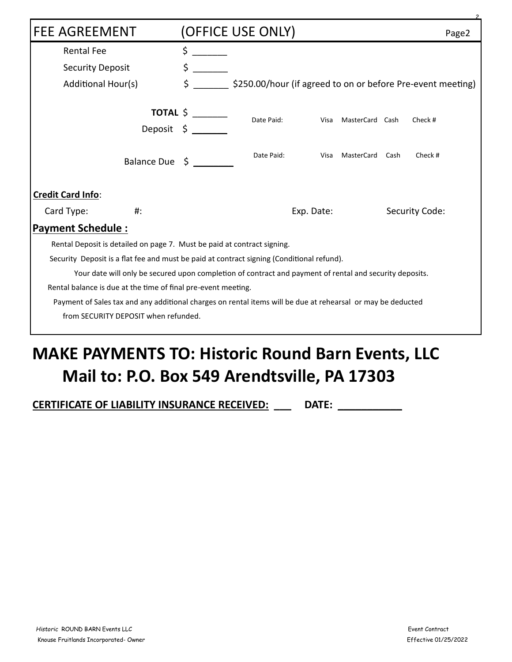| <b>FEE AGREEMENT</b>                                                                                        | (OFFICE USE ONLY)                                                   | Page2 |  |  |  |
|-------------------------------------------------------------------------------------------------------------|---------------------------------------------------------------------|-------|--|--|--|
| <b>Rental Fee</b>                                                                                           | \$                                                                  |       |  |  |  |
| <b>Security Deposit</b>                                                                                     | \$                                                                  |       |  |  |  |
| Additional Hour(s)                                                                                          | \$<br>\$250.00/hour (if agreed to on or before Pre-event meeting)   |       |  |  |  |
|                                                                                                             | TOTAL $\frac{1}{2}$                                                 |       |  |  |  |
|                                                                                                             | Date Paid:<br>MasterCard Cash<br>Check #<br>Visa<br>Deposit $\zeta$ |       |  |  |  |
| Balance Due \$                                                                                              | Date Paid:<br>MasterCard<br>Check #<br>Cash<br>Visa                 |       |  |  |  |
| Credit Card Info:                                                                                           |                                                                     |       |  |  |  |
| Card Type:<br>#:                                                                                            | Security Code:<br>Exp. Date:                                        |       |  |  |  |
| <b>Payment Schedule:</b>                                                                                    |                                                                     |       |  |  |  |
| Rental Deposit is detailed on page 7. Must be paid at contract signing.                                     |                                                                     |       |  |  |  |
| Security Deposit is a flat fee and must be paid at contract signing (Conditional refund).                   |                                                                     |       |  |  |  |
| Your date will only be secured upon completion of contract and payment of rental and security deposits.     |                                                                     |       |  |  |  |
| Rental balance is due at the time of final pre-event meeting.                                               |                                                                     |       |  |  |  |
| Payment of Sales tax and any additional charges on rental items will be due at rehearsal or may be deducted |                                                                     |       |  |  |  |
| from SECURITY DEPOSIT when refunded.                                                                        |                                                                     |       |  |  |  |
|                                                                                                             |                                                                     |       |  |  |  |

# **MAKE PAYMENTS TO: Historic Round Barn Events, LLC Mail to: P.O. Box 549 Arendtsville, PA 17303**

**CERTIFICATE OF LIABILITY INSURANCE RECEIVED: \_\_\_ DATE: \_\_\_\_\_\_\_\_\_\_\_**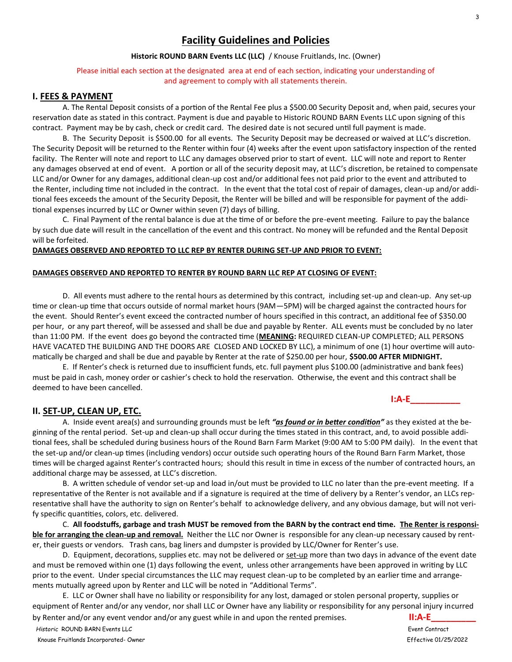# **Facility Guidelines and Policies**

#### **Historic ROUND BARN Events LLC (LLC)** / Knouse Fruitlands, Inc. (Owner)

Please initial each section at the designated area at end of each section, indicating your understanding of and agreement to comply with all statements therein.

#### **I. FEES & PAYMENT**

A. The Rental Deposit consists of a portion of the Rental Fee plus a \$500.00 Security Deposit and, when paid, secures your reservation date as stated in this contract. Payment is due and payable to Historic ROUND BARN Events LLC upon signing of this contract. Payment may be by cash, check or credit card. The desired date is not secured until full payment is made.

B. The Security Deposit is \$500.00 for all events. The Security Deposit may be decreased or waived at LLC's discretion. The Security Deposit will be returned to the Renter within four (4) weeks after the event upon satisfactory inspection of the rented facility. The Renter will note and report to LLC any damages observed prior to start of event. LLC will note and report to Renter any damages observed at end of event. A portion or all of the security deposit may, at LLC's discretion, be retained to compensate LLC and/or Owner for any damages, additional clean-up cost and/or additional fees not paid prior to the event and attributed to the Renter, including time not included in the contract. In the event that the total cost of repair of damages, clean-up and/or additional fees exceeds the amount of the Security Deposit, the Renter will be billed and will be responsible for payment of the additional expenses incurred by LLC or Owner within seven (7) days of billing.

C. Final Payment of the rental balance is due at the time of or before the pre-event meeting. Failure to pay the balance by such due date will result in the cancellation of the event and this contract. No money will be refunded and the Rental Deposit will be forfeited.

#### **DAMAGES OBSERVED AND REPORTED TO LLC REP BY RENTER DURING SET-UP AND PRIOR TO EVENT:**

#### **DAMAGES OBSERVED AND REPORTED TO RENTER BY ROUND BARN LLC REP AT CLOSING OF EVENT:**

D. All events must adhere to the rental hours as determined by this contract, including set-up and clean-up. Any set-up time or clean-up time that occurs outside of normal market hours (9AM—5PM) will be charged against the contracted hours for the event. Should Renter's event exceed the contracted number of hours specified in this contract, an additional fee of \$350.00 per hour, or any part thereof, will be assessed and shall be due and payable by Renter. ALL events must be concluded by no later than 11:00 PM. If the event does go beyond the contracted time (**MEANING:** REQUIRED CLEAN-UP COMPLETED; ALL PERSONS HAVE VACATED THE BUILDING AND THE DOORS ARE CLOSED AND LOCKED BY LLC), a minimum of one (1) hour overtime will automatically be charged and shall be due and payable by Renter at the rate of \$250.00 per hour, **\$500.00 AFTER MIDNIGHT.**

E. If Renter's check is returned due to insufficient funds, etc. full payment plus \$100.00 (administrative and bank fees) must be paid in cash, money order or cashier's check to hold the reservation. Otherwise, the event and this contract shall be deemed to have been cancelled.

#### **II. SET-UP, CLEAN UP, ETC.**

A. Inside event area(s) and surrounding grounds must be left *"as found or in better condition"* as they existed at the beginning of the rental period. Set-up and clean-up shall occur during the times stated in this contract, and, to avoid possible additional fees, shall be scheduled during business hours of the Round Barn Farm Market (9:00 AM to 5:00 PM daily). In the event that the set-up and/or clean-up times (including vendors) occur outside such operating hours of the Round Barn Farm Market, those times will be charged against Renter's contracted hours; should this result in time in excess of the number of contracted hours, an additional charge may be assessed, at LLC's discretion.

B. A written schedule of vendor set-up and load in/out must be provided to LLC no later than the pre-event meeting. If a representative of the Renter is not available and if a signature is required at the time of delivery by a Renter's vendor, an LLCs representative shall have the authority to sign on Renter's behalf to acknowledge delivery, and any obvious damage, but will not verify specific quantities, colors, etc. delivered.

C. **All foodstuffs, garbage and trash MUST be removed from the BARN by the contract end time. The Renter is responsible for arranging the clean-up and removal.** Neither the LLC nor Owner is responsible for any clean-up necessary caused by renter, their guests or vendors. Trash cans, bag liners and dumpster is provided by LLC/Owner for Renter's use.

D. Equipment, decorations, supplies etc. may not be delivered or set-up more than two days in advance of the event date and must be removed within one (1) days following the event, unless other arrangements have been approved in writing by LLC prior to the event. Under special circumstances the LLC may request clean-up to be completed by an earlier time and arrangements mutually agreed upon by Renter and LLC will be noted in "Additional Terms".

E. LLC or Owner shall have no liability or responsibility for any lost, damaged or stolen personal property, supplies or equipment of Renter and/or any vendor, nor shall LLC or Owner have any liability or responsibility for any personal injury incurred by Renter and/or any event vendor and/or any guest while in and upon the rented premises. **II:A-E\_\_\_\_\_\_\_\_\_**

**I:A-E\_\_\_\_\_\_\_\_\_\_**

*Historic* ROUND BARN Events LLC Event Contract

3

Knouse Fruitlands Incorporated- Owner Effective 01/25/2022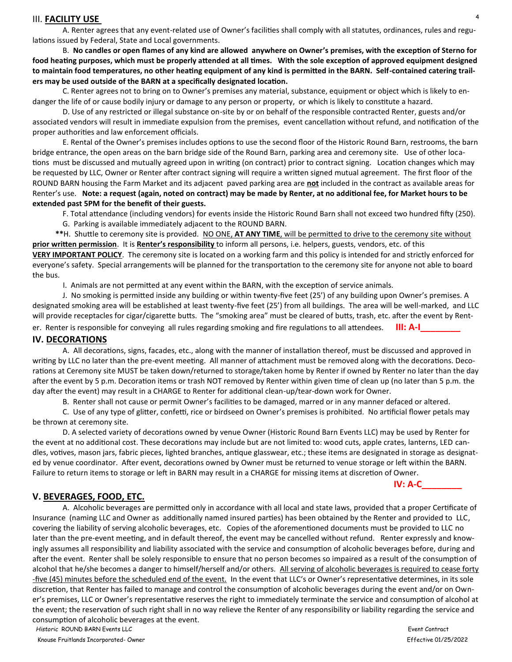#### III. **FACILITY USE**

A. Renter agrees that any event-related use of Owner's facilities shall comply with all statutes, ordinances, rules and regulations issued by Federal, State and Local governments.

B. **No candles or open flames of any kind are allowed anywhere on Owner's premises, with the exception of Sterno for food heating purposes, which must be properly attended at all times. With the sole exception of approved equipment designed to maintain food temperatures, no other heating equipment of any kind is permitted in the BARN. Self-contained catering trailers may be used outside of the BARN at a specifically designated location.**

C. Renter agrees not to bring on to Owner's premises any material, substance, equipment or object which is likely to endanger the life of or cause bodily injury or damage to any person or property, or which is likely to constitute a hazard.

D. Use of any restricted or illegal substance on-site by or on behalf of the responsible contracted Renter, guests and/or associated vendors will result in immediate expulsion from the premises, event cancellation without refund, and notification of the proper authorities and law enforcement officials.

E. Rental of the Owner's premises includes options to use the second floor of the Historic Round Barn, restrooms, the barn bridge entrance, the open areas on the barn bridge side of the Round Barn, parking area and ceremony site. Use of other locations must be discussed and mutually agreed upon in writing (on contract) prior to contract signing. Location changes which may be requested by LLC, Owner or Renter after contract signing will require a written signed mutual agreement. The first floor of the ROUND BARN housing the Farm Market and its adjacent paved parking area are **not** included in the contract as available areas for Renter's use. **Note: a request (again, noted on contract) may be made by Renter, at no additional fee, for Market hours to be extended past 5PM for the benefit of their guests.**

F. Total attendance (including vendors) for events inside the Historic Round Barn shall not exceed two hundred fifty (250).

G. Parking is available immediately adjacent to the ROUND BARN.

 **\*\***H. Shuttle to ceremony site is provided. NO ONE, **AT ANY TIME**, will be permitted to drive to the ceremony site without **prior written permission**. It is **Renter's responsibility** to inform all persons, i.e. helpers, guests, vendors, etc. of this **VERY IMPORTANT POLICY**. The ceremony site is located on a working farm and this policy is intended for and strictly enforced for everyone's safety. Special arrangements will be planned for the transportation to the ceremony site for anyone not able to board

I. Animals are not permitted at any event within the BARN, with the exception of service animals.

J. No smoking is permitted inside any building or within twenty-five feet (25') of any building upon Owner's premises. A designated smoking area will be established at least twenty-five feet (25') from all buildings. The area will be well-marked, and LLC will provide receptacles for cigar/cigarette butts. The "smoking area" must be cleared of butts, trash, etc. after the event by Rent-

er. Renter is responsible for conveying all rules regarding smoking and fire regulations to all attendees. **III: A-I\_\_\_\_\_\_\_\_**

# **IV. DECORATIONS**

the bus.

A. All decorations, signs, facades, etc., along with the manner of installation thereof, must be discussed and approved in writing by LLC no later than the pre-event meeting. All manner of attachment must be removed along with the decorations. Decorations at Ceremony site MUST be taken down/returned to storage/taken home by Renter if owned by Renter no later than the day after the event by 5 p.m. Decoration items or trash NOT removed by Renter within given time of clean up (no later than 5 p.m. the day after the event) may result in a CHARGE to Renter for additional clean-up/tear-down work for Owner.

B. Renter shall not cause or permit Owner's facilities to be damaged, marred or in any manner defaced or altered.

C. Use of any type of glitter, confetti, rice or birdseed on Owner's premises is prohibited. No artificial flower petals may be thrown at ceremony site.

D. A selected variety of decorations owned by venue Owner (Historic Round Barn Events LLC) may be used by Renter for the event at no additional cost. These decorations may include but are not limited to: wood cuts, apple crates, lanterns, LED candles, votives, mason jars, fabric pieces, lighted branches, antique glasswear, etc.; these items are designated in storage as designated by venue coordinator. After event, decorations owned by Owner must be returned to venue storage or left within the BARN. Failure to return items to storage or left in BARN may result in a CHARGE for missing items at discretion of Owner.

### **V. BEVERAGES, FOOD, ETC.**

A. Alcoholic beverages are permitted only in accordance with all local and state laws, provided that a proper Certificate of Insurance (naming LLC and Owner as additionally named insured parties) has been obtained by the Renter and provided to LLC, covering the liability of serving alcoholic beverages, etc. Copies of the aforementioned documents must be provided to LLC no later than the pre-event meeting, and in default thereof, the event may be cancelled without refund. Renter expressly and knowingly assumes all responsibility and liability associated with the service and consumption of alcoholic beverages before, during and after the event. Renter shall be solely responsible to ensure that no person becomes so impaired as a result of the consumption of alcohol that he/she becomes a danger to himself/herself and/or others. All serving of alcoholic beverages is required to cease forty -five (45) minutes before the scheduled end of the event. In the event that LLC's or Owner's representative determines, in its sole discretion, that Renter has failed to manage and control the consumption of alcoholic beverages during the event and/or on Owner's premises, LLC or Owner's representative reserves the right to immediately terminate the service and consumption of alcohol at the event; the reservation of such right shall in no way relieve the Renter of any responsibility or liability regarding the service and consumption of alcoholic beverages at the event.

*Historic* ROUND BARN Events LLC Event Contract

Knouse Fruitlands Incorporated- Owner Effective 01/25/2022

4

**IV: A-C\_\_\_\_\_\_\_\_**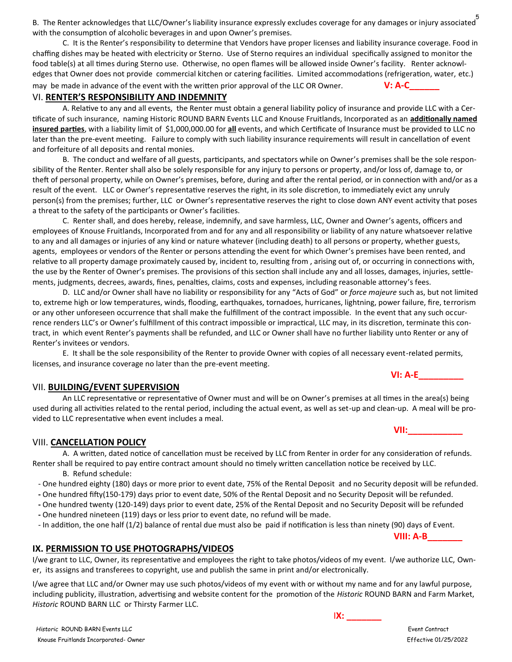5 B. The Renter acknowledges that LLC/Owner's liability insurance expressly excludes coverage for any damages or injury associated with the consumption of alcoholic beverages in and upon Owner's premises.

C. It is the Renter's responsibility to determine that Vendors have proper licenses and liability insurance coverage. Food in chaffing dishes may be heated with electricity or Sterno. Use of Sterno requires an individual specifically assigned to monitor the food table(s) at all times during Sterno use. Otherwise, no open flames will be allowed inside Owner's facility. Renter acknowledges that Owner does not provide commercial kitchen or catering facilities. Limited accommodations (refrigeration, water, etc.) may be made in advance of the event with the written prior approval of the LLC OR Owner. **V: A-C\_\_\_\_\_\_**

#### VI. **RENTER'S RESPONSIBILITY AND INDEMNITY**

A. Relative to any and all events, the Renter must obtain a general liability policy of insurance and provide LLC with a Certificate of such insurance, naming Historic ROUND BARN Events LLC and Knouse Fruitlands, Incorporated as an **additionally named insured parties**, with a liability limit of \$1,000,000.00 for **all** events, and which Certificate of Insurance must be provided to LLC no later than the pre-event meeting. Failure to comply with such liability insurance requirements will result in cancellation of event and forfeiture of all deposits and rental monies.

B. The conduct and welfare of all guests, participants, and spectators while on Owner's premises shall be the sole responsibility of the Renter. Renter shall also be solely responsible for any injury to persons or property, and/or loss of, damage to, or theft of personal property, while on Owner's premises, before, during and after the rental period, or in connection with and/or as a result of the event. LLC or Owner's representative reserves the right, in its sole discretion, to immediately evict any unruly person(s) from the premises; further, LLC or Owner's representative reserves the right to close down ANY event activity that poses a threat to the safety of the participants or Owner's facilities.

C. Renter shall, and does hereby, release, indemnify, and save harmless, LLC, Owner and Owner's agents, officers and employees of Knouse Fruitlands, Incorporated from and for any and all responsibility or liability of any nature whatsoever relative to any and all damages or injuries of any kind or nature whatever (including death) to all persons or property, whether guests, agents, employees or vendors of the Renter or persons attending the event for which Owner's premises have been rented, and relative to all property damage proximately caused by, incident to, resulting from , arising out of, or occurring in connections with, the use by the Renter of Owner's premises. The provisions of this section shall include any and all losses, damages, injuries, settlements, judgments, decrees, awards, fines, penalties, claims, costs and expenses, including reasonable attorney's fees.

D. LLC and/or Owner shall have no liability or responsibility for any "Acts of God" or *force majeure* such as, but not limited to, extreme high or low temperatures, winds, flooding, earthquakes, tornadoes, hurricanes, lightning, power failure, fire, terrorism or any other unforeseen occurrence that shall make the fulfillment of the contract impossible. In the event that any such occurrence renders LLC's or Owner's fulfillment of this contract impossible or impractical, LLC may, in its discretion, terminate this contract, in which event Renter's payments shall be refunded, and LLC or Owner shall have no further liability unto Renter or any of Renter's invitees or vendors.

E. It shall be the sole responsibility of the Renter to provide Owner with copies of all necessary event-related permits, licenses, and insurance coverage no later than the pre-event meeting.

#### VII. **BUILDING/EVENT SUPERVISION**

An LLC representative or representative of Owner must and will be on Owner's premises at all times in the area(s) being used during all activities related to the rental period, including the actual event, as well as set-up and clean-up. A meal will be provided to LLC representative when event includes a meal.

# VIII. **CANCELLATION POLICY**

A. A written, dated notice of cancellation must be received by LLC from Renter in order for any consideration of refunds.

- Renter shall be required to pay entire contract amount should no timely written cancellation notice be received by LLC. B. Refund schedule:
- One hundred eighty (180) days or more prior to event date, 75% of the Rental Deposit and no Security deposit will be refunded.
- **-** One hundred fifty(150-179) days prior to event date, 50% of the Rental Deposit and no Security Deposit will be refunded.
- **-** One hundred twenty (120-149) days prior to event date, 25% of the Rental Deposit and no Security Deposit will be refunded
- **-** One hundred nineteen (119) days or less prior to event date, no refund will be made.
- In addition, the one half (1/2) balance of rental due must also be paid if notification is less than ninety (90) days of Event.

# **IX. PERMISSION TO USE PHOTOGRAPHS/VIDEOS**

I/we grant to LLC, Owner, its representative and employees the right to take photos/videos of my event. I/we authorize LLC, Owner, its assigns and transferees to copyright, use and publish the same in print and/or electronically.

I/we agree that LLC and/or Owner may use such photos/videos of my event with or without my name and for any lawful purpose, including publicity, illustration, advertising and website content for the promotion of the *Historic* ROUND BARN and Farm Market, *Historic* ROUND BARN LLC or Thirsty Farmer LLC.

 *Historic* ROUND BARN Events LLC Event Contract Knouse Fruitlands Incorporated- Owner Effective 01/25/2022

I**X: \_\_\_\_\_\_\_**

# **VI: A-E\_\_\_\_\_\_\_\_\_**

**VII:\_\_\_\_\_\_\_\_\_\_\_**

**VIII: A-B\_\_\_\_\_\_\_**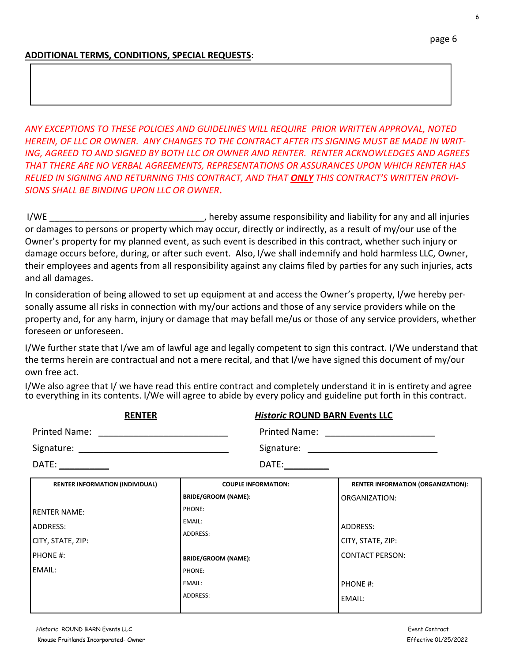# **ADDITIONAL TERMS, CONDITIONS, SPECIAL REQUESTS**:

*ANY EXCEPTIONS TO THESE POLICIES AND GUIDELINES WILL REQUIRE PRIOR WRITTEN APPROVAL, NOTED HEREIN, OF LLC OR OWNER. ANY CHANGES TO THE CONTRACT AFTER ITS SIGNING MUST BE MADE IN WRIT-ING, AGREED TO AND SIGNED BY BOTH LLC OR OWNER AND RENTER. RENTER ACKNOWLEDGES AND AGREES THAT THERE ARE NO VERBAL AGREEMENTS, REPRESENTATIONS OR ASSURANCES UPON WHICH RENTER HAS RELIED IN SIGNING AND RETURNING THIS CONTRACT, AND THAT ONLY THIS CONTRACT'S WRITTEN PROVI-SIONS SHALL BE BINDING UPON LLC OR OWNER***.**

I/WE **I** and all injuries the contract of the responsibility and liability for any and all injuries or damages to persons or property which may occur, directly or indirectly, as a result of my/our use of the Owner's property for my planned event, as such event is described in this contract, whether such injury or damage occurs before, during, or after such event. Also, I/we shall indemnify and hold harmless LLC, Owner, their employees and agents from all responsibility against any claims filed by parties for any such injuries, acts and all damages.

In consideration of being allowed to set up equipment at and access the Owner's property, I/we hereby personally assume all risks in connection with my/our actions and those of any service providers while on the property and, for any harm, injury or damage that may befall me/us or those of any service providers, whether foreseen or unforeseen.

I/We further state that I/we am of lawful age and legally competent to sign this contract. I/We understand that the terms herein are contractual and not a mere recital, and that I/we have signed this document of my/our own free act.

I/We also agree that I/ we have read this entire contract and completely understand it in is entirety and agree to everything in its contents. I/We will agree to abide by every policy and guideline put forth in this contract.

| <b>RENTER</b>                          | <b>Historic ROUND BARN Events LLC</b>                                                                                                                                                                                         |                                           |
|----------------------------------------|-------------------------------------------------------------------------------------------------------------------------------------------------------------------------------------------------------------------------------|-------------------------------------------|
| <b>Printed Name:</b>                   |                                                                                                                                                                                                                               |                                           |
|                                        |                                                                                                                                                                                                                               | Signature: Signature:                     |
| DATE: ___________                      | DATE: and the state of the state of the state of the state of the state of the state of the state of the state of the state of the state of the state of the state of the state of the state of the state of the state of the |                                           |
| <b>RENTER INFORMATION (INDIVIDUAL)</b> | <b>COUPLE INFORMATION:</b>                                                                                                                                                                                                    | <b>RENTER INFORMATION (ORGANIZATION):</b> |
|                                        | <b>BRIDE/GROOM (NAME):</b>                                                                                                                                                                                                    | ORGANIZATION:                             |
| <b>RENTER NAME:</b>                    | <b>PHONE:</b>                                                                                                                                                                                                                 |                                           |

| EMAIL:<br>ADDRESS:         | <b>ADDRESS:</b><br>CITY, STATE, ZIP: |
|----------------------------|--------------------------------------|
| <b>BRIDE/GROOM (NAME):</b> | l CONTACT PERSON:                    |
| PHONE:                     |                                      |
| EMAIL:                     | <b>PHONE #:</b>                      |
| ADDRESS:                   | EMAIL:                               |
|                            |                                      |